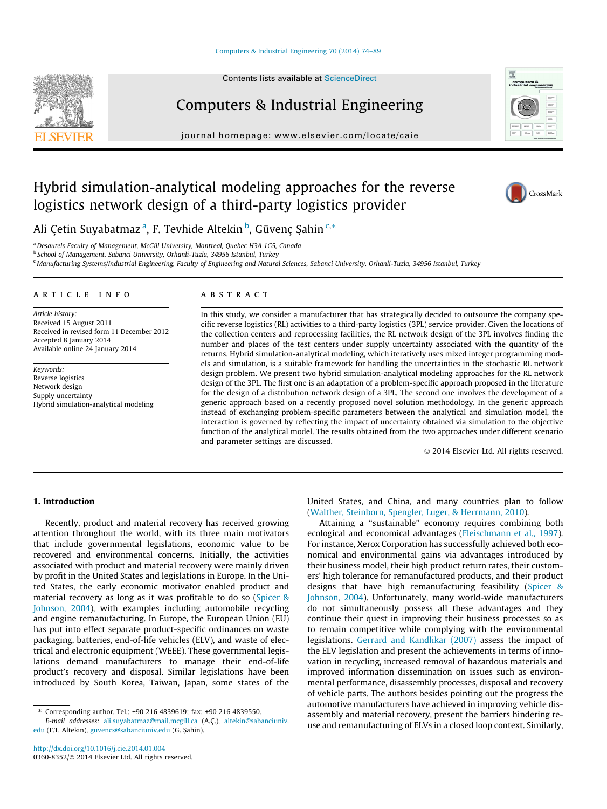#### [Computers & Industrial Engineering 70 \(2014\) 74–89](http://dx.doi.org/10.1016/j.cie.2014.01.004)

Contents lists available at [ScienceDirect](http://www.sciencedirect.com/science/journal/03608352)

Computers & Industrial Engineering

journal homepage: [www.elsevier.com/locate/caie](http://www.elsevier.com/locate/caie)



## Hybrid simulation-analytical modeling approaches for the reverse logistics network design of a third-party logistics provider



Ali Çetin Suyabatmaz<sup>a</sup>, F. Tevhide Altekin <sup>b</sup>, Güvenç Şahin <sup>c,</sup>\*

<sup>a</sup>Desautels Faculty of Management, McGill University, Montreal, Quebec H3A 1G5, Canada

<sup>b</sup> School of Management, Sabanci University, Orhanli-Tuzla, 34956 Istanbul, Turkey

<sup>c</sup> Manufacturing Systems/Industrial Engineering, Faculty of Engineering and Natural Sciences, Sabanci University, Orhanli-Tuzla, 34956 Istanbul, Turkey

#### article info

Article history: Received 15 August 2011 Received in revised form 11 December 2012 Accepted 8 January 2014 Available online 24 January 2014

Keywords: Reverse logistics Network design Supply uncertainty Hybrid simulation-analytical modeling

### ABSTRACT

In this study, we consider a manufacturer that has strategically decided to outsource the company specific reverse logistics (RL) activities to a third-party logistics (3PL) service provider. Given the locations of the collection centers and reprocessing facilities, the RL network design of the 3PL involves finding the number and places of the test centers under supply uncertainty associated with the quantity of the returns. Hybrid simulation-analytical modeling, which iteratively uses mixed integer programming models and simulation, is a suitable framework for handling the uncertainties in the stochastic RL network design problem. We present two hybrid simulation-analytical modeling approaches for the RL network design of the 3PL. The first one is an adaptation of a problem-specific approach proposed in the literature for the design of a distribution network design of a 3PL. The second one involves the development of a generic approach based on a recently proposed novel solution methodology. In the generic approach instead of exchanging problem-specific parameters between the analytical and simulation model, the interaction is governed by reflecting the impact of uncertainty obtained via simulation to the objective function of the analytical model. The results obtained from the two approaches under different scenario and parameter settings are discussed.

- 2014 Elsevier Ltd. All rights reserved.

#### 1. Introduction

Recently, product and material recovery has received growing attention throughout the world, with its three main motivators that include governmental legislations, economic value to be recovered and environmental concerns. Initially, the activities associated with product and material recovery were mainly driven by profit in the United States and legislations in Europe. In the United States, the early economic motivator enabled product and material recovery as long as it was profitable to do so ([Spicer &](#page--1-0) [Johnson, 2004\)](#page--1-0), with examples including automobile recycling and engine remanufacturing. In Europe, the European Union (EU) has put into effect separate product-specific ordinances on waste packaging, batteries, end-of-life vehicles (ELV), and waste of electrical and electronic equipment (WEEE). These governmental legislations demand manufacturers to manage their end-of-life product's recovery and disposal. Similar legislations have been introduced by South Korea, Taiwan, Japan, some states of the

E-mail addresses: [ali.suyabatmaz@mail.mcgill.ca](mailto:ali.suyabatmaz@mail.mcgill.ca) (A.Ç.), [altekin@sabanciuniv.](mailto:altekin@sabanciuniv.edu) [edu](mailto:altekin@sabanciuniv.edu) (F.T. Altekin), [guvencs@sabanciuniv.edu](mailto:guvencs@sabanciuniv.edu) (G. Şahin).

United States, and China, and many countries plan to follow ([Walther, Steinborn, Spengler, Luger, & Herrmann, 2010](#page--1-0)).

Attaining a ''sustainable'' economy requires combining both ecological and economical advantages ([Fleischmann et al., 1997\)](#page--1-0). For instance, Xerox Corporation has successfully achieved both economical and environmental gains via advantages introduced by their business model, their high product return rates, their customers' high tolerance for remanufactured products, and their product designs that have high remanufacturing feasibility [\(Spicer &](#page--1-0) [Johnson, 2004\)](#page--1-0). Unfortunately, many world-wide manufacturers do not simultaneously possess all these advantages and they continue their quest in improving their business processes so as to remain competitive while complying with the environmental legislations. [Gerrard and Kandlikar \(2007\)](#page--1-0) assess the impact of the ELV legislation and present the achievements in terms of innovation in recycling, increased removal of hazardous materials and improved information dissemination on issues such as environmental performance, disassembly processes, disposal and recovery of vehicle parts. The authors besides pointing out the progress the automotive manufacturers have achieved in improving vehicle disassembly and material recovery, present the barriers hindering reuse and remanufacturing of ELVs in a closed loop context. Similarly,

<sup>⇑</sup> Corresponding author. Tel.: +90 216 4839619; fax: +90 216 4839550.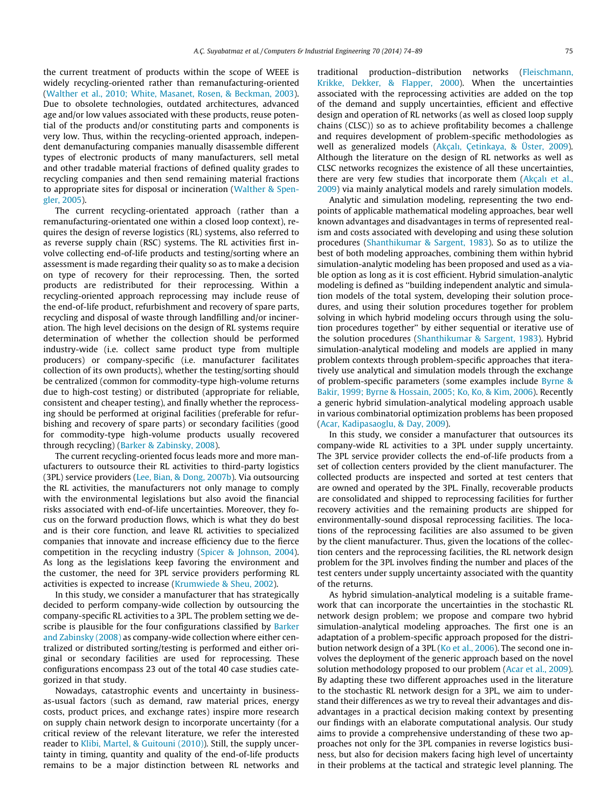the current treatment of products within the scope of WEEE is widely recycling-oriented rather than remanufacturing-oriented ([Walther et al., 2010; White, Masanet, Rosen, & Beckman, 2003\)](#page--1-0). Due to obsolete technologies, outdated architectures, advanced age and/or low values associated with these products, reuse potential of the products and/or constituting parts and components is very low. Thus, within the recycling-oriented approach, independent demanufacturing companies manually disassemble different types of electronic products of many manufacturers, sell metal and other tradable material fractions of defined quality grades to recycling companies and then send remaining material fractions to appropriate sites for disposal or incineration ([Walther & Spen](#page--1-0)[gler, 2005](#page--1-0)).

The current recycling-orientated approach (rather than a remanufacturing-orientated one within a closed loop context), requires the design of reverse logistics (RL) systems, also referred to as reverse supply chain (RSC) systems. The RL activities first involve collecting end-of-life products and testing/sorting where an assessment is made regarding their quality so as to make a decision on type of recovery for their reprocessing. Then, the sorted products are redistributed for their reprocessing. Within a recycling-oriented approach reprocessing may include reuse of the end-of-life product, refurbishment and recovery of spare parts, recycling and disposal of waste through landfilling and/or incineration. The high level decisions on the design of RL systems require determination of whether the collection should be performed industry-wide (i.e. collect same product type from multiple producers) or company-specific (i.e. manufacturer facilitates collection of its own products), whether the testing/sorting should be centralized (common for commodity-type high-volume returns due to high-cost testing) or distributed (appropriate for reliable, consistent and cheaper testing), and finally whether the reprocessing should be performed at original facilities (preferable for refurbishing and recovery of spare parts) or secondary facilities (good for commodity-type high-volume products usually recovered through recycling) [\(Barker & Zabinsky, 2008\)](#page--1-0).

The current recycling-oriented focus leads more and more manufacturers to outsource their RL activities to third-party logistics (3PL) service providers ([Lee, Bian, & Dong, 2007b](#page--1-0)). Via outsourcing the RL activities, the manufacturers not only manage to comply with the environmental legislations but also avoid the financial risks associated with end-of-life uncertainties. Moreover, they focus on the forward production flows, which is what they do best and is their core function, and leave RL activities to specialized companies that innovate and increase efficiency due to the fierce competition in the recycling industry ([Spicer & Johnson, 2004\)](#page--1-0). As long as the legislations keep favoring the environment and the customer, the need for 3PL service providers performing RL activities is expected to increase ([Krumwiede & Sheu, 2002](#page--1-0)).

In this study, we consider a manufacturer that has strategically decided to perform company-wide collection by outsourcing the company-specific RL activities to a 3PL. The problem setting we de-scribe is plausible for the four configurations classified by [Barker](#page--1-0) [and Zabinsky \(2008\)](#page--1-0) as company-wide collection where either centralized or distributed sorting/testing is performed and either original or secondary facilities are used for reprocessing. These configurations encompass 23 out of the total 40 case studies categorized in that study.

Nowadays, catastrophic events and uncertainty in businessas-usual factors (such as demand, raw material prices, energy costs, product prices, and exchange rates) inspire more research on supply chain network design to incorporate uncertainty (for a critical review of the relevant literature, we refer the interested reader to [Klibi, Martel, & Guitouni \(2010\)\)](#page--1-0). Still, the supply uncertainty in timing, quantity and quality of the end-of-life products remains to be a major distinction between RL networks and traditional production–distribution networks [\(Fleischmann,](#page--1-0) [Krikke, Dekker, & Flapper, 2000\)](#page--1-0). When the uncertainties associated with the reprocessing activities are added on the top of the demand and supply uncertainties, efficient and effective design and operation of RL networks (as well as closed loop supply chains (CLSC)) so as to achieve profitability becomes a challenge and requires development of problem-specific methodologies as well as generalized models [\(Akçalı, Çetinkaya, & Üster, 2009\)](#page--1-0). Although the literature on the design of RL networks as well as CLSC networks recognizes the existence of all these uncertainties, there are very few studies that incorporate them ([Akçal](#page--1-0)ı [et al.,](#page--1-0) [2009](#page--1-0)) via mainly analytical models and rarely simulation models.

Analytic and simulation modeling, representing the two endpoints of applicable mathematical modeling approaches, bear well known advantages and disadvantages in terms of represented realism and costs associated with developing and using these solution procedures [\(Shanthikumar & Sargent, 1983](#page--1-0)). So as to utilize the best of both modeling approaches, combining them within hybrid simulation-analytic modeling has been proposed and used as a viable option as long as it is cost efficient. Hybrid simulation-analytic modeling is defined as ''building independent analytic and simulation models of the total system, developing their solution procedures, and using their solution procedures together for problem solving in which hybrid modeling occurs through using the solution procedures together'' by either sequential or iterative use of the solution procedures ([Shanthikumar & Sargent, 1983](#page--1-0)). Hybrid simulation-analytical modeling and models are applied in many problem contexts through problem-specific approaches that iteratively use analytical and simulation models through the exchange of problem-specific parameters (some examples include [Byrne &](#page--1-0) [Bakir, 1999; Byrne & Hossain, 2005; Ko, Ko, & Kim, 2006](#page--1-0)). Recently a generic hybrid simulation-analytical modeling approach usable in various combinatorial optimization problems has been proposed ([Acar, Kadipasaoglu, & Day, 2009](#page--1-0)).

In this study, we consider a manufacturer that outsources its company-wide RL activities to a 3PL under supply uncertainty. The 3PL service provider collects the end-of-life products from a set of collection centers provided by the client manufacturer. The collected products are inspected and sorted at test centers that are owned and operated by the 3PL. Finally, recoverable products are consolidated and shipped to reprocessing facilities for further recovery activities and the remaining products are shipped for environmentally-sound disposal reprocessing facilities. The locations of the reprocessing facilities are also assumed to be given by the client manufacturer. Thus, given the locations of the collection centers and the reprocessing facilities, the RL network design problem for the 3PL involves finding the number and places of the test centers under supply uncertainty associated with the quantity of the returns.

As hybrid simulation-analytical modeling is a suitable framework that can incorporate the uncertainties in the stochastic RL network design problem; we propose and compare two hybrid simulation-analytical modeling approaches. The first one is an adaptation of a problem-specific approach proposed for the distribution network design of a 3PL ([Ko et al., 2006](#page--1-0)). The second one involves the deployment of the generic approach based on the novel solution methodology proposed to our problem ([Acar et al., 2009\)](#page--1-0). By adapting these two different approaches used in the literature to the stochastic RL network design for a 3PL, we aim to understand their differences as we try to reveal their advantages and disadvantages in a practical decision making context by presenting our findings with an elaborate computational analysis. Our study aims to provide a comprehensive understanding of these two approaches not only for the 3PL companies in reverse logistics business, but also for decision makers facing high level of uncertainty in their problems at the tactical and strategic level planning. The